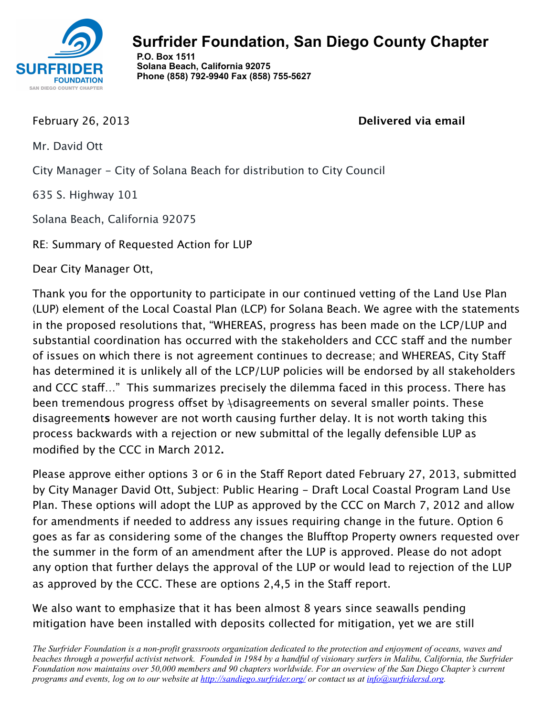

 **P.O. Box 1511 Solana Beach, California 92075 Phone (858) 792-9940 Fax (858) 755-5627**

February 26, 2013 

**Delivered via email**

Mr. David Ott

City Manager - City of Solana Beach for distribution to City Council

635 S. Highway 101

Solana Beach, California 92075

RE: Summary of Requested Action for LUP

Dear City Manager Ott,

Thank you for the opportunity to participate in our continued vetting of the Land Use Plan (LUP) element of the Local Coastal Plan (LCP) for Solana Beach. We agree with the statements in the proposed resolutions that, "WHEREAS, progress has been made on the LCP/LUP and substantial coordination has occurred with the stakeholders and CCC staff and the number of issues on which there is not agreement continues to decrease; and WHEREAS, City Staf has determined it is unlikely all of the LCP/LUP policies will be endorsed by all stakeholders and CCC staf…" This summarizes precisely the dilemma faced in this process. There has been tremendous progress offset by *Adisagreements on several smaller points*. These disagreement**s** however are not worth causing further delay. It is not worth taking this process backwards with a rejection or new submittal of the legally defensible LUP as modified by the CCC in March 2012**.**

Please approve either options 3 or 6 in the Staff Report dated February 27, 2013, submitted by City Manager David Ott, Subject: Public Hearing - Draft Local Coastal Program Land Use Plan. These options will adopt the LUP as approved by the CCC on March 7, 2012 and allow for amendments if needed to address any issues requiring change in the future. Option 6 goes as far as considering some of the changes the Bluftop Property owners requested over the summer in the form of an amendment after the LUP is approved. Please do not adopt any option that further delays the approval of the LUP or would lead to rejection of the LUP as approved by the CCC. These are options 2,4,5 in the Staff report.

We also want to emphasize that it has been almost 8 years since seawalls pending mitigation have been installed with deposits collected for mitigation, yet we are still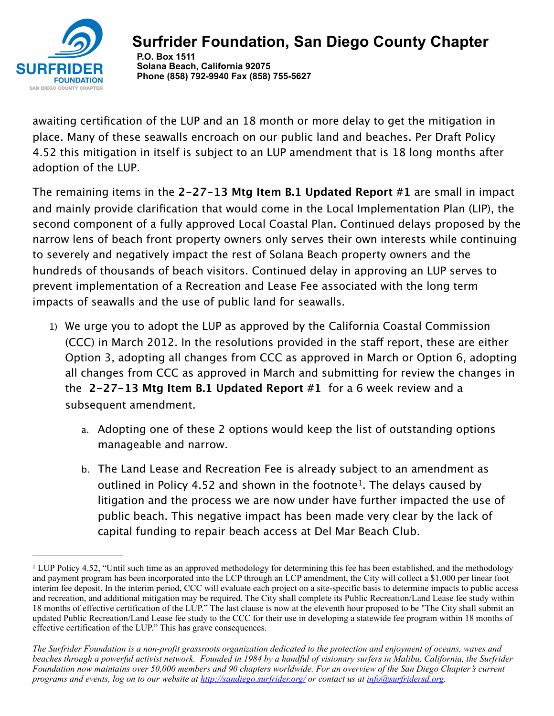

 **P.O. Box 1511 Solana Beach, California 92075 Phone (858) 792-9940 Fax (858) 755-5627**

awaiting certification of the LUP and an 18 month or more delay to get the mitigation in place. Many of these seawalls encroach on our public land and beaches. Per Draft Policy 4.52 this mitigation in itself is subject to an LUP amendment that is 18 long months after adoption of the LUP.

The remaining items in the **2-27-13 Mtg Item B.1 Updated Report #1** are small in impact and mainly provide clarification that would come in the Local Implementation Plan (LIP), the second component of a fully approved Local Coastal Plan. Continued delays proposed by the narrow lens of beach front property owners only serves their own interests while continuing to severely and negatively impact the rest of Solana Beach property owners and the hundreds of thousands of beach visitors. Continued delay in approving an LUP serves to prevent implementation of a Recreation and Lease Fee associated with the long term impacts of seawalls and the use of public land for seawalls.

- 1) We urge you to adopt the LUP as approved by the California Coastal Commission (CCC) in March 2012. In the resolutions provided in the staff report, these are either Option 3, adopting all changes from CCC as approved in March or Option 6, adopting all changes from CCC as approved in March and submitting for review the changes in the **2-27-13 Mtg Item B.1 Updated Report #1** for a 6 week review and a subsequent amendment.
	- a. Adopting one of these 2 options would keep the list of outstanding options manageable and narrow.
	- b. The Land Lease and Recreation Fee is already subject to an amendment as outlined in Policy 4.52 and shown in the footnote<sup>1</sup>. The delays caused by litigation and the process we are now under have further impacted the use of public beach. This negative impact has been made very clear by the lack of capital funding to repair beach access at Del Mar Beach Club.

<span id="page-1-0"></span><sup>&</sup>lt;sup>1</sup> LUP Policy 4.52, "Until such time as an approved methodology for determining this fee has been established, and the methodology and payment program has been incorporated into the LCP through an LCP amendment, the City will collect a \$1,000 per linear foot interim fee deposit. In the interim period, CCC will evaluate each project on a site-specific basis to determine impacts to public access and recreation, and additional mitigation may be required. The City shall complete its Public Recreation/Land Lease fee study within 18 months of effective certification of the LUP." The last clause is now at the eleventh hour proposed to be "The City shall submit an updated Public Recreation/Land Lease fee study to the CCC for their use in developing a statewide fee program within 18 months of effective certification of the LUP." This has grave consequences.

*The Surfrider Foundation is a non-profit grassroots organization dedicated to the protection and enjoyment of oceans, waves and beaches through a powerful activist network. Founded in 1984 by a handful of visionary surfers in Malibu, California, the Surfrider Foundation now maintains over 50,000 members and 90 chapters worldwide. For an overview of the San Diego Chapter's current programs and events, log on to our website at <http://sandiego.surfrider.org/> or contact us at [info@surfridersd.org.](mailto:info@surfridersd.org)*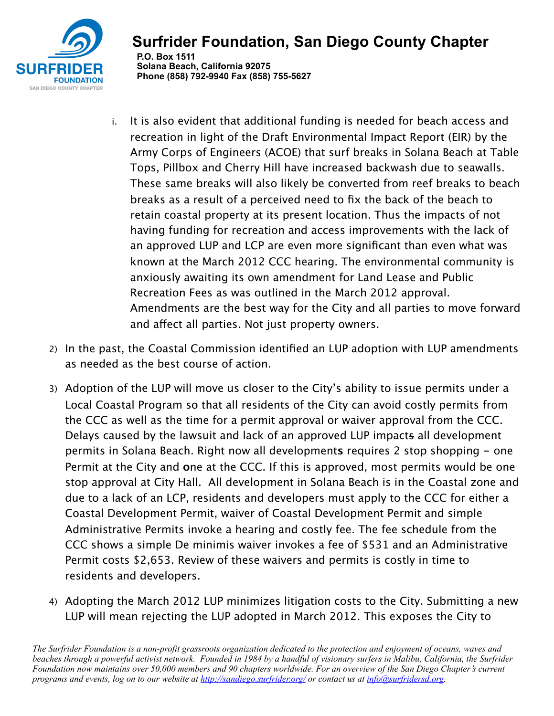

### **Surfrider Foundation, San Diego County Chapter P.O. Box 1511 Solana Beach, California 92075 Phone (858) 792-9940 Fax (858) 755-5627**

- i. It is also evident that additional funding is needed for beach access and recreation in light of the Draft Environmental Impact Report (EIR) by the Army Corps of Engineers (ACOE) that surf breaks in Solana Beach at Table Tops, Pillbox and Cherry Hill have increased backwash due to seawalls. These same breaks will also likely be converted from reef breaks to beach breaks as a result of a perceived need to fix the back of the beach to retain coastal property at its present location. Thus the impacts of not having funding for recreation and access improvements with the lack of an approved LUP and LCP are even more significant than even what was known at the March 2012 CCC hearing. The environmental community is anxiously awaiting its own amendment for Land Lease and Public Recreation Fees as was outlined in the March 2012 approval. Amendments are the best way for the City and all parties to move forward and afect all parties. Not just property owners.
- 2) In the past, the Coastal Commission identified an LUP adoption with LUP amendments as needed as the best course of action.
- 3) Adoption of the LUP will move us closer to the City's ability to issue permits under a Local Coastal Program so that all residents of the City can avoid costly permits from the CCC as well as the time for a permit approval or waiver approval from the CCC. Delays caused by the lawsuit and lack of an approved LUP impacts all development permits in Solana Beach. Right now all development**s** requires 2 stop shopping **-** one Permit at the City and **o**ne at the CCC. If this is approved, most permits would be one stop approval at City Hall. All development in Solana Beach is in the Coastal zone and due to a lack of an LCP, residents and developers must apply to the CCC for either a Coastal Development Permit, waiver of Coastal Development Permit and simple Administrative Permits invoke a hearing and costly fee. The fee schedule from the CCC shows a simple De minimis waiver invokes a fee of \$531 and an Administrative Permit costs \$2,653. Review of these waivers and permits is costly in time to residents and developers.
- 4) Adopting the March 2012 LUP minimizes litigation costs to the City. Submitting a new LUP will mean rejecting the LUP adopted in March 2012. This exposes the City to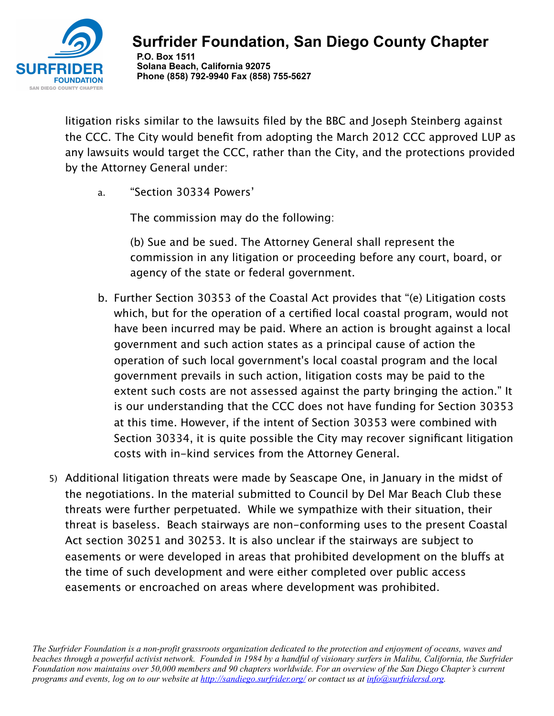

 **P.O. Box 1511 Solana Beach, California 92075 Phone (858) 792-9940 Fax (858) 755-5627**

litigation risks similar to the lawsuits filed by the BBC and Joseph Steinberg against the CCC. The City would benefit from adopting the March 2012 CCC approved LUP as any lawsuits would target the CCC, rather than the City, and the protections provided by the Attorney General under:

a. "Section 30334 Powers'

The commission may do the following:

(b) Sue and be sued. The Attorney General shall represent the commission in any litigation or proceeding before any court, board, or agency of the state or federal government.

- b. Further Section 30353 of the Coastal Act provides that "(e) Litigation costs which, but for the operation of a certified local coastal program, would not have been incurred may be paid. Where an action is brought against a local government and such action states as a principal cause of action the operation of such local government's local coastal program and the local government prevails in such action, litigation costs may be paid to the extent such costs are not assessed against the party bringing the action." It is our understanding that the CCC does not have funding for Section 30353 at this time. However, if the intent of Section 30353 were combined with Section 30334, it is quite possible the City may recover significant litigation costs with in-kind services from the Attorney General.
- 5) Additional litigation threats were made by Seascape One, in January in the midst of the negotiations. In the material submitted to Council by Del Mar Beach Club these threats were further perpetuated. While we sympathize with their situation, their threat is baseless. Beach stairways are non-conforming uses to the present Coastal Act section 30251 and 30253. It is also unclear if the stairways are subject to easements or were developed in areas that prohibited development on the blufs at the time of such development and were either completed over public access easements or encroached on areas where development was prohibited.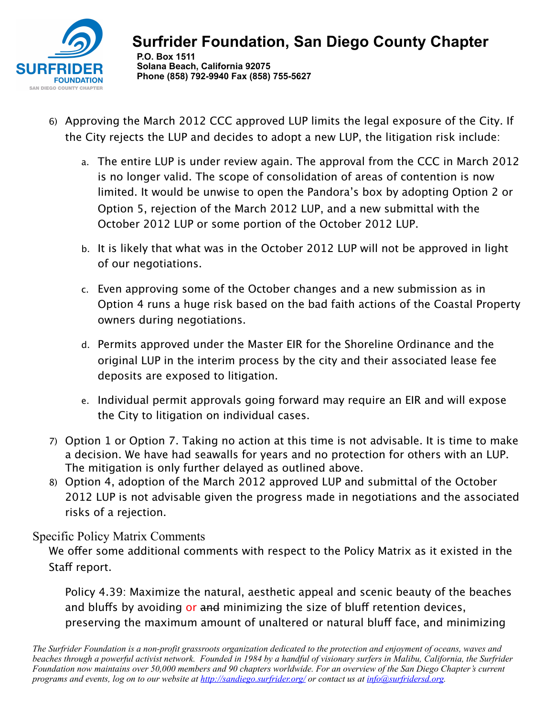

#### **Surfrider Foundation, San Diego County Chapter P.O. Box 1511 Solana Beach, California 92075 Phone (858) 792-9940 Fax (858) 755-5627**

- 6) Approving the March 2012 CCC approved LUP limits the legal exposure of the City. If the City rejects the LUP and decides to adopt a new LUP, the litigation risk include:
	- a. The entire LUP is under review again. The approval from the CCC in March 2012 is no longer valid. The scope of consolidation of areas of contention is now limited. It would be unwise to open the Pandora's box by adopting Option 2 or Option 5, rejection of the March 2012 LUP, and a new submittal with the October 2012 LUP or some portion of the October 2012 LUP.
	- b. It is likely that what was in the October 2012 LUP will not be approved in light of our negotiations.
	- c. Even approving some of the October changes and a new submission as in Option 4 runs a huge risk based on the bad faith actions of the Coastal Property owners during negotiations.
	- d. Permits approved under the Master EIR for the Shoreline Ordinance and the original LUP in the interim process by the city and their associated lease fee deposits are exposed to litigation.
	- e. Individual permit approvals going forward may require an EIR and will expose the City to litigation on individual cases.
- 7) Option 1 or Option 7. Taking no action at this time is not advisable. It is time to make a decision. We have had seawalls for years and no protection for others with an LUP. The mitigation is only further delayed as outlined above.
- 8) Option 4, adoption of the March 2012 approved LUP and submittal of the October 2012 LUP is not advisable given the progress made in negotiations and the associated risks of a rejection.

### Specific Policy Matrix Comments

We offer some additional comments with respect to the Policy Matrix as it existed in the Staff report.

Policy 4.39: Maximize the natural, aesthetic appeal and scenic beauty of the beaches and bluffs by avoiding or and minimizing the size of bluff retention devices, preserving the maximum amount of unaltered or natural bluff face, and minimizing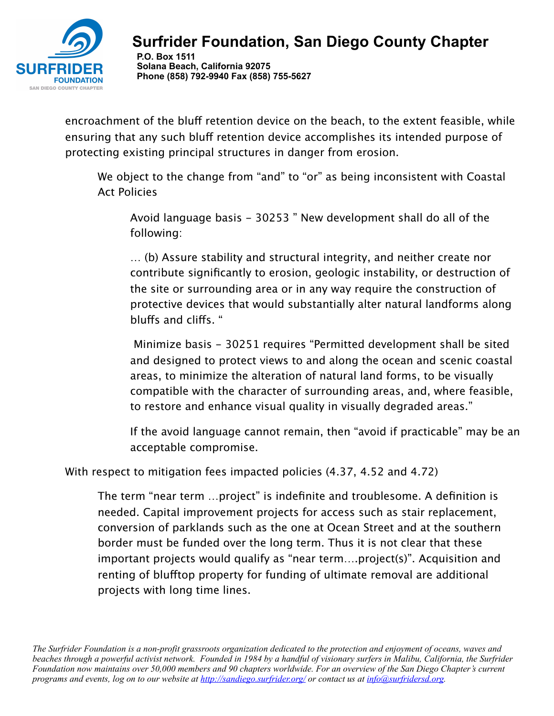

 **P.O. Box 1511 Solana Beach, California 92075 Phone (858) 792-9940 Fax (858) 755-5627**

encroachment of the bluff retention device on the beach, to the extent feasible, while ensuring that any such bluff retention device accomplishes its intended purpose of protecting existing principal structures in danger from erosion.

We object to the change from "and" to "or" as being inconsistent with Coastal Act Policies

Avoid language basis - 30253 " New development shall do all of the following:

… (b) Assure stability and structural integrity, and neither create nor contribute significantly to erosion, geologic instability, or destruction of the site or surrounding area or in any way require the construction of protective devices that would substantially alter natural landforms along blufs and clifs. "

 Minimize basis - 30251 requires "Permitted development shall be sited and designed to protect views to and along the ocean and scenic coastal areas, to minimize the alteration of natural land forms, to be visually compatible with the character of surrounding areas, and, where feasible, to restore and enhance visual quality in visually degraded areas."

If the avoid language cannot remain, then "avoid if practicable" may be an acceptable compromise.

With respect to mitigation fees impacted policies (4.37, 4.52 and 4.72)

The term "near term …project" is indefinite and troublesome. A definition is needed. Capital improvement projects for access such as stair replacement, conversion of parklands such as the one at Ocean Street and at the southern border must be funded over the long term. Thus it is not clear that these important projects would qualify as "near term….project(s)". Acquisition and renting of bluftop property for funding of ultimate removal are additional projects with long time lines.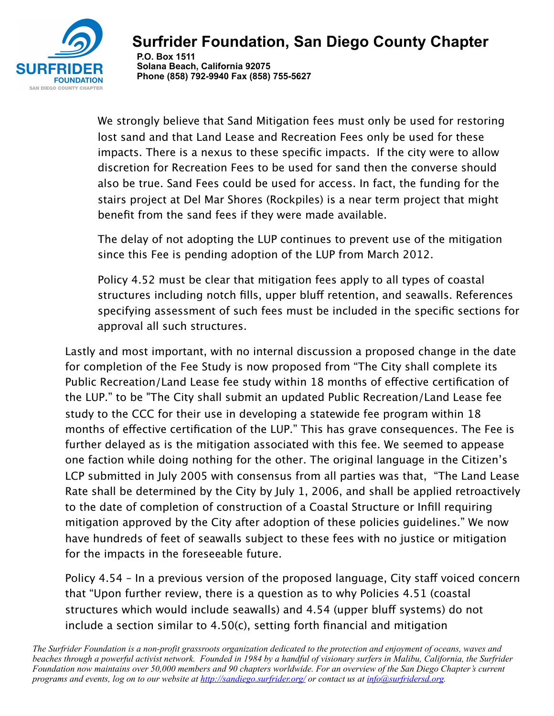

 **P.O. Box 1511 Solana Beach, California 92075 Phone (858) 792-9940 Fax (858) 755-5627**

We strongly believe that Sand Mitigation fees must only be used for restoring lost sand and that Land Lease and Recreation Fees only be used for these impacts. There is a nexus to these specific impacts. If the city were to allow discretion for Recreation Fees to be used for sand then the converse should also be true. Sand Fees could be used for access. In fact, the funding for the stairs project at Del Mar Shores (Rockpiles) is a near term project that might benefit from the sand fees if they were made available.

The delay of not adopting the LUP continues to prevent use of the mitigation since this Fee is pending adoption of the LUP from March 2012.

Policy 4.52 must be clear that mitigation fees apply to all types of coastal structures including notch fills, upper bluff retention, and seawalls. References specifying assessment of such fees must be included in the specific sections for approval all such structures.

Lastly and most important, with no internal discussion a proposed change in the date for completion of the Fee Study is now proposed from "The City shall complete its Public Recreation/Land Lease fee study within 18 months of effective certification of the LUP." to be "The City shall submit an updated Public Recreation/Land Lease fee study to the CCC for their use in developing a statewide fee program within 18 months of efective certification of the LUP." This has grave consequences. The Fee is further delayed as is the mitigation associated with this fee. We seemed to appease one faction while doing nothing for the other. The original language in the Citizen's LCP submitted in July 2005 with consensus from all parties was that, "The Land Lease Rate shall be determined by the City by July 1, 2006, and shall be applied retroactively to the date of completion of construction of a Coastal Structure or Infill requiring mitigation approved by the City after adoption of these policies guidelines." We now have hundreds of feet of seawalls subject to these fees with no justice or mitigation for the impacts in the foreseeable future.

Policy 4.54 – In a previous version of the proposed language, City staff voiced concern that "Upon further review, there is a question as to why Policies 4.51 (coastal structures which would include seawalls) and 4.54 (upper bluff systems) do not include a section similar to 4.50(c), setting forth financial and mitigation